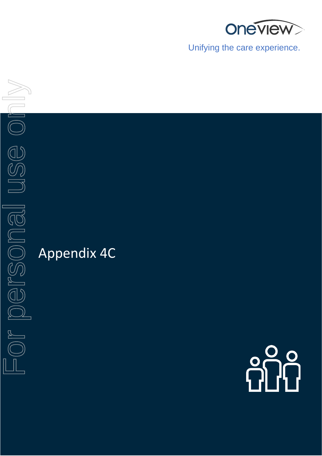

Unifying the care experience.



# Appendix 4C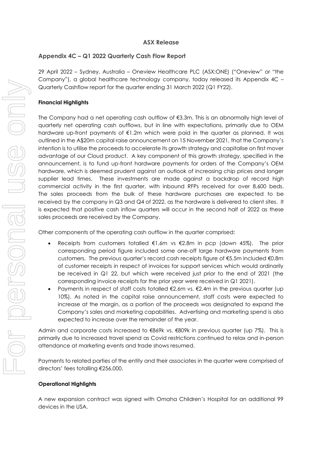# **ASX Release**

# **Appendix 4C – Q1 2022 Quarterly Cash Flow Report**

29 April 2022 – Sydney, Australia – Oneview Healthcare PLC (ASX:ONE) ("Oneview" or "the Company"), a global healthcare technology company, today released its Appendix 4C – Quarterly Cashflow report for the quarter ending 31 March 2022 (Q1 FY22).

# **Financial Highlights**

The Company had a net operating cash outflow of  $\epsilon$ 3.3m. This is an abnormally high level of quarterly net operating cash outflows, but in line with expectations, primarily due to OEM hardware up-front payments of €1.2m which were paid in the quarter as planned. It was outlined in the A\$20m capital raise announcement on 15 November 2021, that the Company's intention is to utilise the proceeds to accelerate its growth strategy and capitalise on first mover advantage of our Cloud product. A key component of this growth strategy, specified in the announcement, is to fund up-front hardware payments for orders of the Company's OEM hardware, which is deemed prudent against an outlook of increasing chip prices and longer supplier lead times. These investments are made against a backdrop of record high commercial activity in the first quarter, with inbound RFPs received for over 8,600 beds. The sales proceeds from the bulk of these hardware purchases are expected to be received by the company in Q3 and Q4 of 2022, as the hardware is delivered to client sites. It is expected that positive cash inflow quarters will occur in the second half of 2022 as these sales proceeds are received by the Company.

Other components of the operating cash outflow in the quarter comprised:

- Receipts from customers totalled  $\epsilon$ 1.6m vs  $\epsilon$ 2.8m in pcp (down 45%). The prior corresponding period figure included some one-off large hardware payments from customers. The previous quarter's record cash receipts figure of €5.5m included €0.8m of customer receipts in respect of invoices for support services which would ordinarily be received in Q1 22, but which were received just prior to the end of 2021 (the corresponding invoice receipts for the prior year were received in Q1 2021).
- Payments in respect of staff costs totalled  $\epsilon$ 2.6m vs.  $\epsilon$ 2.4m in the previous quarter (up 10%). As noted in the capital raise announcement, staff costs were expected to increase at the margin, as a portion of the proceeds was designated to expand the Company's sales and marketing capabilities. Advertising and marketing spend is also expected to increase over the remainder of the year.

Admin and corporate costs increased to €869k vs. €809k in previous quarter (up 7%). This is primarily due to increased travel spend as Covid restrictions continued to relax and in-person attendance at marketing events and trade shows resumed.

Payments to related parties of the entity and their associates in the quarter were comprised of directors' fees totalling €256,000.

# **Operational Highlights**

A new expansion contract was signed with Omaha Children's Hospital for an additional 99 devices in the USA.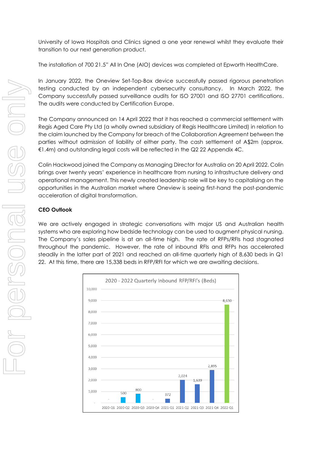University of Iowa Hospitals and Clinics signed a one year renewal whilst they evaluate their transition to our next generation product.

The installation of 700 21.5" All In One (AIO) devices was completed at Epworth HealthCare.

In January 2022, the Oneview Set-Top-Box device successfully passed rigorous penetration testing conducted by an independent cybersecurity consultancy. In March 2022, the Company successfully passed surveillance audits for ISO 27001 and ISO 27701 certifications. The audits were conducted by Certification Europe.

The Company announced on 14 April 2022 that it has reached a commercial settlement with Regis Aged Care Pty Ltd (a wholly owned subsidiary of Regis Healthcare Limited) in relation to the claim launched by the Company for breach of the Collaboration Agreement between the parties without admission of liability of either party. The cash settlement of A\$2m (approx. €1.4m) and outstanding legal costs will be reflected in the Q2 22 Appendix 4C.

Colin Hackwood joined the Company as Managing Director for Australia on 20 April 2022. Colin brings over twenty years' experience in healthcare from nursing to infrastructure delivery and operational management. This newly created leadership role will be key to capitalising on the opportunities in the Australian market where Oneview is seeing first-hand the post-pandemic acceleration of digital transformation.

# **CEO Outlook**

We are actively engaged in strategic conversations with major US and Australian health systems who are exploring how bedside technology can be used to augment physical nursing. The Company's sales pipeline is at an all-time high. The rate of RFPs/RFIs had stagnated throughout the pandemic. However, the rate of inbound RFIs and RFPs has accelerated steadily in the latter part of 2021 and reached an all-time quarterly high of 8,630 beds in Q1 22. At this time, there are 15,338 beds in RFP/RFI for which we are awaiting decisions.

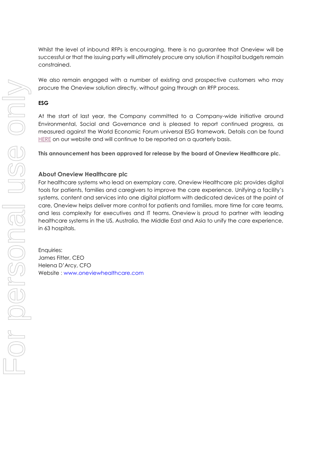Whilst the level of inbound RFPs is encouraging, there is no guarantee that Oneview will be successful or that the issuing party will ultimately procure any solution if hospital budgets remain constrained.

We also remain engaged with a number of existing and prospective customers who may procure the Oneview solution directly, without going through an RFP process.

### **ESG**

At the start of last year, the Company committed to a Company-wide initiative around Environmental, Social and Governance and is pleased to report continued progress, as measured against the World Economic Forum universal ESG framework. Details can be found [HERE](https://esg.socialsuitehq.com/public-dashboard/1618383713152x478475319744921600?report=1637306463836x545652833341806000) on our website and will continue to be reported on a quarterly basis.

**This announcement has been approved for release by the board of Oneview Healthcare plc.** 

# **About Oneview Healthcare plc**

For healthcare systems who lead on exemplary care, Oneview Healthcare plc provides digital tools for patients, families and caregivers to improve the care experience. Unifying a facility's systems, content and services into one digital platform with dedicated devices at the point of care, Oneview helps deliver more control for patients and families, more time for care teams, and less complexity for executives and IT teams. Oneview is proud to partner with leading healthcare systems in the US, Australia, the Middle East and Asia to unify the care experience, in 63 hospitals.

Enquiries: James Fitter, CEO Helena D'Arcy, CFO Website : www.oneviewhealthcare.com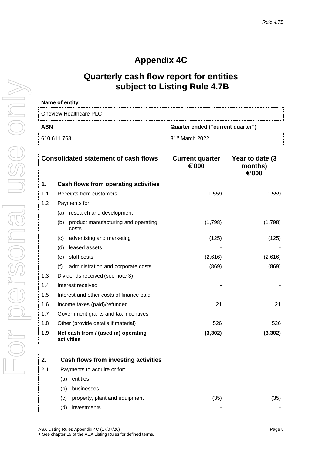# **Appendix 4C**

# **Quarterly cash flow report for entities subject to Listing Rule 4.7B**

| Name of entity         |                                   |
|------------------------|-----------------------------------|
| Oneview Healthcare PLC |                                   |
| <b>ABN</b>             | Quarter ended ("current quarter") |
| 610 611 768            | 31 <sup>st</sup> March 2022       |
|                        |                                   |

| <b>Consolidated statement of cash flows</b> |                                                   |                                              | <b>Current quarter</b><br>€'000 | Year to date (3<br>months)<br>€'000 |
|---------------------------------------------|---------------------------------------------------|----------------------------------------------|---------------------------------|-------------------------------------|
| 1.                                          |                                                   | Cash flows from operating activities         |                                 |                                     |
| 1.1                                         |                                                   | Receipts from customers                      | 1,559                           | 1,559                               |
| 1.2                                         |                                                   | Payments for                                 |                                 |                                     |
|                                             | (a)                                               | research and development                     |                                 |                                     |
|                                             | (b)                                               | product manufacturing and operating<br>costs | (1,798)                         | (1,798)                             |
|                                             | (c)                                               | advertising and marketing                    | (125)                           | (125)                               |
|                                             | (d)                                               | leased assets                                |                                 |                                     |
|                                             | (e)                                               | staff costs                                  | (2,616)                         | (2,616)                             |
|                                             | (f)                                               | administration and corporate costs           | (869)                           | (869)                               |
| 1.3                                         |                                                   | Dividends received (see note 3)              |                                 |                                     |
| 1.4                                         |                                                   | Interest received                            |                                 |                                     |
| 1.5                                         |                                                   | Interest and other costs of finance paid     |                                 |                                     |
| 1.6                                         |                                                   | Income taxes (paid)/refunded                 | 21                              | 21                                  |
| 1.7                                         |                                                   | Government grants and tax incentives         |                                 |                                     |
| 1.8                                         |                                                   | Other (provide details if material)          | 526                             | 526                                 |
| 1.9                                         | Net cash from / (used in) operating<br>activities |                                              | (3, 302)                        | (3, 302)                            |
|                                             |                                                   |                                              |                                 |                                     |
| 2.                                          |                                                   | Cash flows from investing activities         |                                 |                                     |
|                                             |                                                   |                                              |                                 |                                     |

| 2.1 | Payments to acquire or for:          |      |      |
|-----|--------------------------------------|------|------|
|     | entities<br>(a)                      | -    |      |
|     | businesses<br>(b)                    | -    |      |
|     | property, plant and equipment<br>(c) | (35) | (35) |
|     | (d)<br>investments                   | -    |      |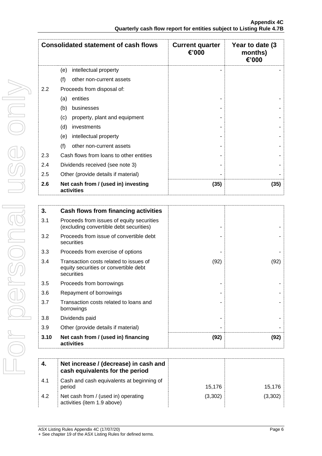| <b>Consolidated statement of cash flows</b> |                                                   | <b>Current quarter</b><br>€'000 | Year to date (3<br>months)<br>€'000 |
|---------------------------------------------|---------------------------------------------------|---------------------------------|-------------------------------------|
|                                             | intellectual property<br>(e)                      |                                 |                                     |
|                                             | (f)<br>other non-current assets                   |                                 |                                     |
| 2.2                                         | Proceeds from disposal of:                        |                                 |                                     |
|                                             | entities<br>(a)                                   |                                 |                                     |
|                                             | (b)<br>businesses                                 |                                 |                                     |
|                                             | (c)<br>property, plant and equipment              |                                 |                                     |
|                                             | (d)<br>investments                                |                                 |                                     |
|                                             | (e)<br>intellectual property                      |                                 |                                     |
|                                             | (f)<br>other non-current assets                   |                                 |                                     |
| 2.3                                         | Cash flows from loans to other entities           |                                 |                                     |
| 2.4                                         | Dividends received (see note 3)                   |                                 |                                     |
| 2.5                                         | Other (provide details if material)               |                                 |                                     |
| 2.6                                         | Net cash from / (used in) investing<br>activities | (35)                            | (35)                                |

| 3.   | Cash flows from financing activities                                                          |      |      |
|------|-----------------------------------------------------------------------------------------------|------|------|
| 3.1  | Proceeds from issues of equity securities<br>(excluding convertible debt securities)          |      |      |
| 3.2  | Proceeds from issue of convertible debt<br>securities                                         |      |      |
| 3.3  | Proceeds from exercise of options                                                             |      |      |
| 3.4  | Transaction costs related to issues of<br>equity securities or convertible debt<br>securities | (92) | (92) |
| 3.5  | Proceeds from borrowings                                                                      |      |      |
| 3.6  | Repayment of borrowings                                                                       |      |      |
| 3.7  | Transaction costs related to loans and<br>borrowings                                          |      |      |
| 3.8  | Dividends paid                                                                                |      |      |
| 3.9  | Other (provide details if material)                                                           |      |      |
| 3.10 | Net cash from / (used in) financing<br>activities                                             | (92) | (92) |

| 4.  | Net increase / (decrease) in cash and<br>cash equivalents for the period |         |         |
|-----|--------------------------------------------------------------------------|---------|---------|
| 4.1 | Cash and cash equivalents at beginning of<br>period                      | 15.176  | 15,176  |
| 4.2 | Net cash from / (used in) operating<br>activities (item 1.9 above)       | (3,302) | (3,302) |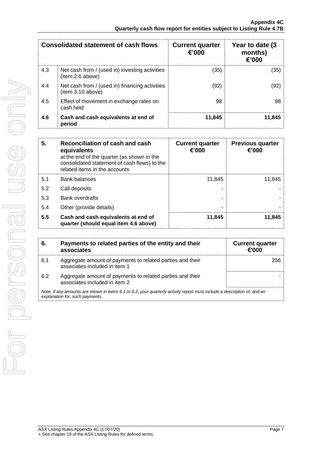| <b>Consolidated statement of cash flows</b> |                                                                    | <b>Current quarter</b><br>€'000 | Year to date (3)<br>months)<br>€'000 |
|---------------------------------------------|--------------------------------------------------------------------|---------------------------------|--------------------------------------|
| 4.3                                         | Net cash from / (used in) investing activities<br>(item 2.6 above) | (35)                            | (35)                                 |
| 4.4                                         | Net cash from / (used in) financing activities<br>item 3.10 above) | (92)                            | (92)                                 |
| 4.5                                         | Effect of movement in exchange rates on<br>cash held               | 98                              | 98                                   |
| 4.6                                         | Cash and cash equivalents at end of<br>period                      | 11,845                          | 11,845                               |

| 5.  | Reconciliation of cash and cash<br>equivalents<br>at the end of the quarter (as shown in the<br>consolidated statement of cash flows) to the<br>related items in the accounts | <b>Current quarter</b><br>€'000 | <b>Previous quarter</b><br>€'000 |
|-----|-------------------------------------------------------------------------------------------------------------------------------------------------------------------------------|---------------------------------|----------------------------------|
| 5.1 | <b>Bank balances</b>                                                                                                                                                          | 11.845                          | 11.845                           |
| 5.2 | Call deposits                                                                                                                                                                 |                                 |                                  |
| 5.3 | Bank overdrafts                                                                                                                                                               |                                 |                                  |
| 5.4 | Other (provide details)                                                                                                                                                       | -                               |                                  |
| 5.5 | Cash and cash equivalents at end of<br>quarter (should equal item 4.6 above)                                                                                                  | 11,845                          | 11,845                           |

| 6.  | Payments to related parties of the entity and their<br>associates                                                                                           | <b>Current quarter</b><br>€'000 |  |
|-----|-------------------------------------------------------------------------------------------------------------------------------------------------------------|---------------------------------|--|
| 6.1 | Aggregate amount of payments to related parties and their<br>associates included in item 1                                                                  | 256.                            |  |
| 6.2 | Aggregate amount of payments to related parties and their<br>associates included in item 2                                                                  |                                 |  |
|     | Note: if any amounts are shown in items 6.1 or 6.2, your quarterly activity report must include a description of, and an<br>explanation for, such payments. |                                 |  |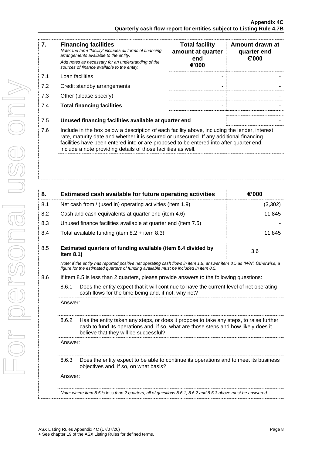| <b>Financing facilities</b><br>Note: the term "facility' includes all forms of financing<br>arrangements available to the entity.                                                                                                                                                                                                                           | <b>Total facility</b><br>amount at quarter | Amount drawn at<br>quarter end<br>€'000 |
|-------------------------------------------------------------------------------------------------------------------------------------------------------------------------------------------------------------------------------------------------------------------------------------------------------------------------------------------------------------|--------------------------------------------|-----------------------------------------|
| Add notes as necessary for an understanding of the<br>sources of finance available to the entity.                                                                                                                                                                                                                                                           | €'000                                      |                                         |
| Loan facilities                                                                                                                                                                                                                                                                                                                                             |                                            |                                         |
| Credit standby arrangements                                                                                                                                                                                                                                                                                                                                 |                                            |                                         |
| Other (please specify)                                                                                                                                                                                                                                                                                                                                      |                                            |                                         |
| <b>Total financing facilities</b>                                                                                                                                                                                                                                                                                                                           |                                            |                                         |
| Unused financing facilities available at quarter end                                                                                                                                                                                                                                                                                                        |                                            |                                         |
| 7.6<br>Include in the box below a description of each facility above, including the lender, interest<br>rate, maturity date and whether it is secured or unsecured. If any additional financing<br>facilities have been entered into or are proposed to be entered into after quarter end,<br>include a note providing details of those facilities as well. |                                            |                                         |
|                                                                                                                                                                                                                                                                                                                                                             |                                            |                                         |
|                                                                                                                                                                                                                                                                                                                                                             |                                            | end                                     |

| 8.  |                                                                                                                                                                                                                                 | Estimated cash available for future operating activities                                                                                                                                                       | €'000   |
|-----|---------------------------------------------------------------------------------------------------------------------------------------------------------------------------------------------------------------------------------|----------------------------------------------------------------------------------------------------------------------------------------------------------------------------------------------------------------|---------|
| 8.1 | Net cash from / (used in) operating activities (item 1.9)                                                                                                                                                                       |                                                                                                                                                                                                                | (3,302) |
| 8.2 |                                                                                                                                                                                                                                 | Cash and cash equivalents at quarter end (item 4.6)                                                                                                                                                            | 11,845  |
| 8.3 |                                                                                                                                                                                                                                 | Unused finance facilities available at quarter end (item 7.5)                                                                                                                                                  |         |
| 8.4 |                                                                                                                                                                                                                                 | Total available funding (item $8.2 +$ item $8.3$ )                                                                                                                                                             | 11,845  |
| 8.5 | item 8.1)                                                                                                                                                                                                                       | Estimated quarters of funding available (item 8.4 divided by                                                                                                                                                   | 3.6     |
|     |                                                                                                                                                                                                                                 | Note: if the entity has reported positive net operating cash flows in item 1.9, answer item 8.5 as "N/A". Otherwise, a<br>figure for the estimated quarters of funding available must be included in item 8.5. |         |
| 8.6 |                                                                                                                                                                                                                                 | If item 8.5 is less than 2 quarters, please provide answers to the following questions:                                                                                                                        |         |
|     | 8.6.1<br>Does the entity expect that it will continue to have the current level of net operating<br>cash flows for the time being and, if not, why not?                                                                         |                                                                                                                                                                                                                |         |
|     | Answer:                                                                                                                                                                                                                         |                                                                                                                                                                                                                |         |
|     | 8.6.2<br>Has the entity taken any steps, or does it propose to take any steps, to raise further<br>cash to fund its operations and, if so, what are those steps and how likely does it<br>believe that they will be successful? |                                                                                                                                                                                                                |         |
|     | Answer:                                                                                                                                                                                                                         |                                                                                                                                                                                                                |         |
|     | 8.6.3<br>Does the entity expect to be able to continue its operations and to meet its business<br>objectives and, if so, on what basis?                                                                                         |                                                                                                                                                                                                                |         |
|     | Answer:                                                                                                                                                                                                                         |                                                                                                                                                                                                                |         |
|     |                                                                                                                                                                                                                                 | Note: where item 8.5 is less than 2 quarters, all of questions 8.6.1, 8.6.2 and 8.6.3 above must be answered.                                                                                                  |         |